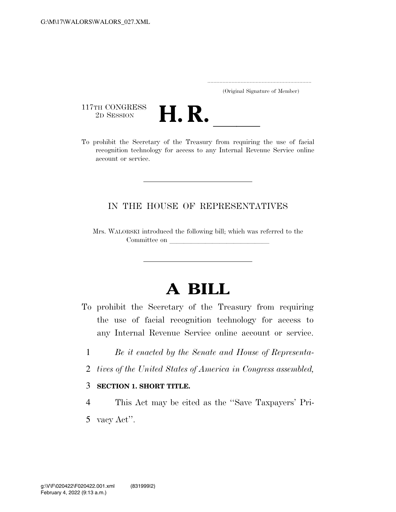..................................................................... (Original Signature of Member)

117TH CONGRESS<br>2D SESSION



117TH CONGRESS<br>
2D SESSION<br>
To prohibit the Secretary of the Treasury from requiring the use of facial recognition technology for access to any Internal Revenue Service online account or service.

## IN THE HOUSE OF REPRESENTATIVES

Mrs. WALORSKI introduced the following bill; which was referred to the Committee on

## **A BILL**

- To prohibit the Secretary of the Treasury from requiring the use of facial recognition technology for access to any Internal Revenue Service online account or service.
	- 1 *Be it enacted by the Senate and House of Representa-*
	- 2 *tives of the United States of America in Congress assembled,*

## 3 **SECTION 1. SHORT TITLE.**

- 4 This Act may be cited as the ''Save Taxpayers' Pri-
- 5 vacy Act''.